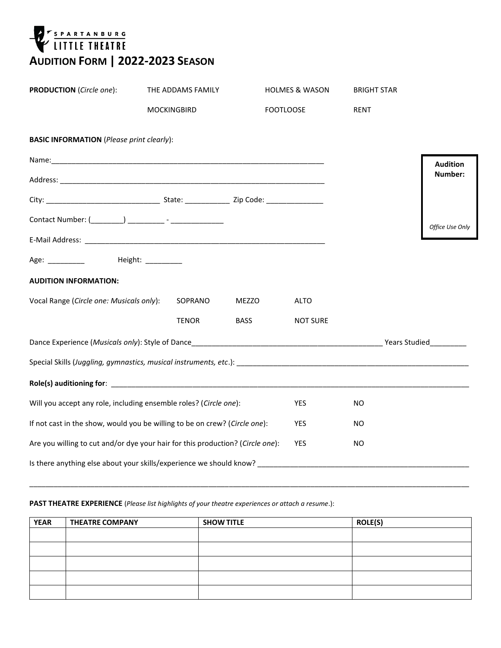

| <b>PRODUCTION</b> (Circle one):                                                                                                                                                                                                | THE ADDAMS FAMILY  |              | <b>HOLMES &amp; WASON</b> | <b>BRIGHT STAR</b> |                 |
|--------------------------------------------------------------------------------------------------------------------------------------------------------------------------------------------------------------------------------|--------------------|--------------|---------------------------|--------------------|-----------------|
|                                                                                                                                                                                                                                | <b>MOCKINGBIRD</b> |              | <b>FOOTLOOSE</b>          | <b>RENT</b>        |                 |
| <b>BASIC INFORMATION</b> (Please print clearly):                                                                                                                                                                               |                    |              |                           |                    |                 |
|                                                                                                                                                                                                                                |                    |              |                           |                    | <b>Audition</b> |
|                                                                                                                                                                                                                                |                    |              |                           |                    | Number:         |
|                                                                                                                                                                                                                                |                    |              |                           |                    |                 |
|                                                                                                                                                                                                                                |                    |              |                           |                    | Office Use Only |
|                                                                                                                                                                                                                                |                    |              |                           |                    |                 |
| Age: ___________ Height: _________                                                                                                                                                                                             |                    |              |                           |                    |                 |
| <b>AUDITION INFORMATION:</b>                                                                                                                                                                                                   |                    |              |                           |                    |                 |
| Vocal Range (Circle one: Musicals only):                                                                                                                                                                                       | SOPRANO            | <b>MEZZO</b> | <b>ALTO</b>               |                    |                 |
|                                                                                                                                                                                                                                | <b>TENOR</b>       | <b>BASS</b>  | <b>NOT SURE</b>           |                    |                 |
|                                                                                                                                                                                                                                |                    |              |                           |                    |                 |
| Special Skills (Juggling, gymnastics, musical instruments, etc.): example and an array and array and array and the strategy of the strategy of the strategy of the strategy of the strategy of the strategy of the strategy of |                    |              |                           |                    |                 |
|                                                                                                                                                                                                                                |                    |              |                           |                    |                 |
| Will you accept any role, including ensemble roles? (Circle one):                                                                                                                                                              |                    |              | YES.                      | <b>NO</b>          |                 |
| If not cast in the show, would you be willing to be on crew? (Circle one):                                                                                                                                                     |                    |              | <b>YES</b>                | NO.                |                 |
| Are you willing to cut and/or dye your hair for this production? (Circle one):                                                                                                                                                 | <b>YES</b>         | NO.          |                           |                    |                 |
| Is there anything else about your skills/experience we should know?                                                                                                                                                            |                    |              |                           |                    |                 |

## **PAST THEATRE EXPERIENCE** (*Please list highlights of your theatre experiences or attach a resume*.):

| <b>YEAR</b> | <b>THEATRE COMPANY</b> | <b>SHOW TITLE</b> | <b>ROLE(S)</b> |
|-------------|------------------------|-------------------|----------------|
|             |                        |                   |                |
|             |                        |                   |                |
|             |                        |                   |                |
|             |                        |                   |                |
|             |                        |                   |                |

\_\_\_\_\_\_\_\_\_\_\_\_\_\_\_\_\_\_\_\_\_\_\_\_\_\_\_\_\_\_\_\_\_\_\_\_\_\_\_\_\_\_\_\_\_\_\_\_\_\_\_\_\_\_\_\_\_\_\_\_\_\_\_\_\_\_\_\_\_\_\_\_\_\_\_\_\_\_\_\_\_\_\_\_\_\_\_\_\_\_\_\_\_\_\_\_\_\_\_\_\_\_\_\_\_\_\_\_